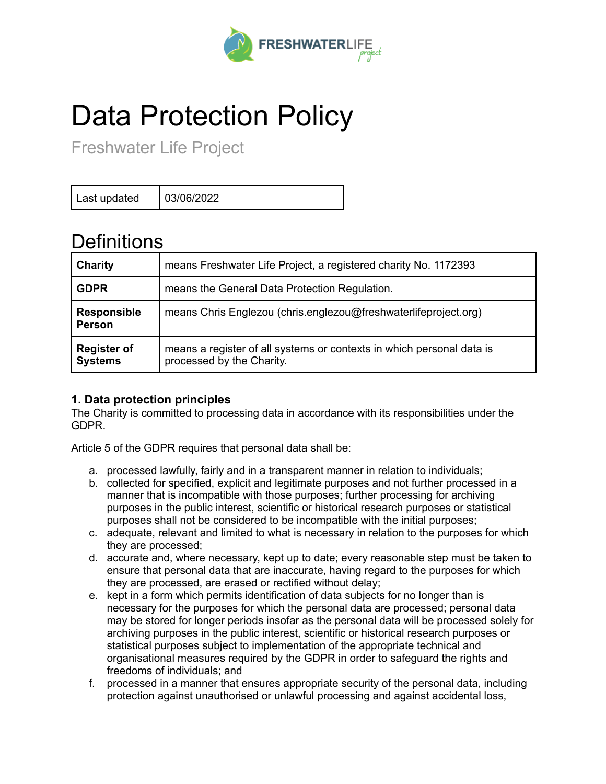

# Data Protection Policy

Freshwater Life Project

Last updated  $\vert$  03/06/2022

## **Definitions**

| <b>Charity</b>                       | means Freshwater Life Project, a registered charity No. 1172393                                    |
|--------------------------------------|----------------------------------------------------------------------------------------------------|
| <b>GDPR</b>                          | means the General Data Protection Regulation.                                                      |
| <b>Responsible</b><br><b>Person</b>  | means Chris Englezou (chris.englezou@freshwaterlifeproject.org)                                    |
| <b>Register of</b><br><b>Systems</b> | means a register of all systems or contexts in which personal data is<br>processed by the Charity. |

### **1. Data protection principles**

The Charity is committed to processing data in accordance with its responsibilities under the GDPR.

Article 5 of the GDPR requires that personal data shall be:

- a. processed lawfully, fairly and in a transparent manner in relation to individuals;
- b. collected for specified, explicit and legitimate purposes and not further processed in a manner that is incompatible with those purposes; further processing for archiving purposes in the public interest, scientific or historical research purposes or statistical purposes shall not be considered to be incompatible with the initial purposes;
- c. adequate, relevant and limited to what is necessary in relation to the purposes for which they are processed;
- d. accurate and, where necessary, kept up to date; every reasonable step must be taken to ensure that personal data that are inaccurate, having regard to the purposes for which they are processed, are erased or rectified without delay;
- e. kept in a form which permits identification of data subjects for no longer than is necessary for the purposes for which the personal data are processed; personal data may be stored for longer periods insofar as the personal data will be processed solely for archiving purposes in the public interest, scientific or historical research purposes or statistical purposes subject to implementation of the appropriate technical and organisational measures required by the GDPR in order to safeguard the rights and freedoms of individuals; and
- f. processed in a manner that ensures appropriate security of the personal data, including protection against unauthorised or unlawful processing and against accidental loss,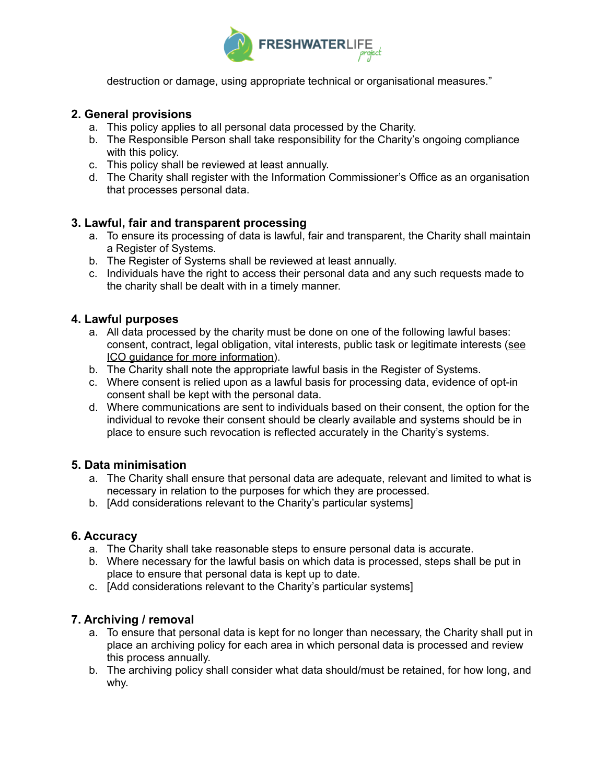

destruction or damage, using appropriate technical or organisational measures."

#### **2. General provisions**

- a. This policy applies to all personal data processed by the Charity.
- b. The Responsible Person shall take responsibility for the Charity's ongoing compliance with this policy.
- c. This policy shall be reviewed at least annually.
- d. The Charity shall register with the Information Commissioner's Office as an organisation that processes personal data.

#### **3. Lawful, fair and transparent processing**

- a. To ensure its processing of data is lawful, fair and transparent, the Charity shall maintain a Register of Systems.
- b. The Register of Systems shall be reviewed at least annually.
- c. Individuals have the right to access their personal data and any such requests made to the charity shall be dealt with in a timely manner.

#### **4. Lawful purposes**

- a. All data processed by the charity must be done on one of the following lawful bases: consent, contract, legal obligation, vital interests, public task or legitimate interests ([see](https://ico.org.uk/for-organisations/guide-to-the-general-data-protection-regulation-gdpr/lawful-basis-for-processing/) ICO guidance for more [information\)](https://ico.org.uk/for-organisations/guide-to-the-general-data-protection-regulation-gdpr/lawful-basis-for-processing/).
- b. The Charity shall note the appropriate lawful basis in the Register of Systems.
- c. Where consent is relied upon as a lawful basis for processing data, evidence of opt-in consent shall be kept with the personal data.
- d. Where communications are sent to individuals based on their consent, the option for the individual to revoke their consent should be clearly available and systems should be in place to ensure such revocation is reflected accurately in the Charity's systems.

#### **5. Data minimisation**

- a. The Charity shall ensure that personal data are adequate, relevant and limited to what is necessary in relation to the purposes for which they are processed.
- b. [Add considerations relevant to the Charity's particular systems]

#### **6. Accuracy**

- a. The Charity shall take reasonable steps to ensure personal data is accurate.
- b. Where necessary for the lawful basis on which data is processed, steps shall be put in place to ensure that personal data is kept up to date.
- c. [Add considerations relevant to the Charity's particular systems]

#### **7. Archiving / removal**

- a. To ensure that personal data is kept for no longer than necessary, the Charity shall put in place an archiving policy for each area in which personal data is processed and review this process annually.
- b. The archiving policy shall consider what data should/must be retained, for how long, and why.